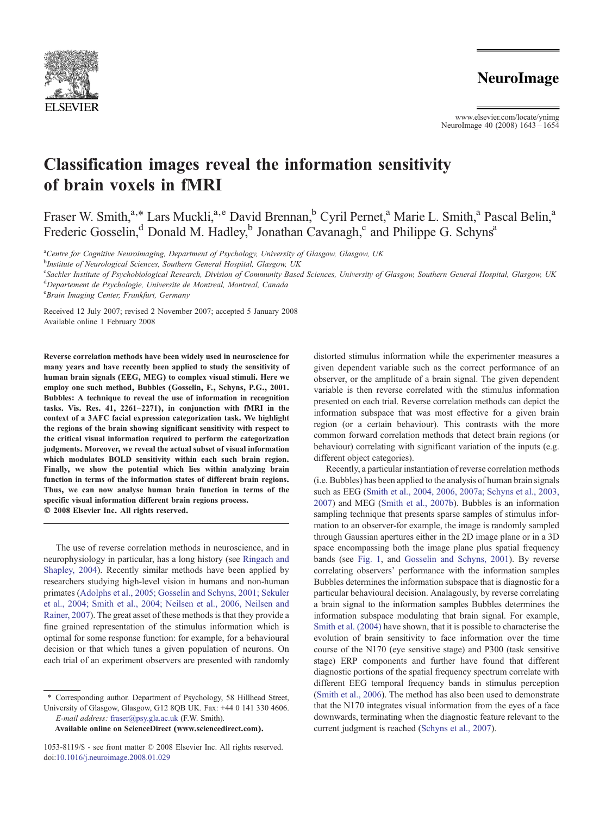

www.elsevier.com/locate/ynimg NeuroImage 40 (2008) 1643–1654

# Classification images reveal the information sensitivity of brain voxels in fMRI

Fraser W. Smith,<sup>a,\*</sup> Lars Muckli,<sup>a,e</sup> David Brennan,<sup>b</sup> Cyril Pernet,<sup>a</sup> Marie L. Smith,<sup>a</sup> Pascal Belin,<sup>a</sup> Frederic Gosselin,<sup>d</sup> Donald M. Hadley,<sup>b</sup> Jonathan Cavanagh,<sup>c</sup> and Philippe G. Schyns<sup>a</sup>

<sup>a</sup>Centre for Cognitive Neuroimaging, Department of Psychology, University of Glasgow, Glasgow, UK

**bInstitute of Neurological Sciences, Southern General Hospital, Glasgow, UK** 

<sup>c</sup>Sackler Institute of Psychobiological Research, Division of Community Based Sciences, University of Glasgow, Southern General Hospital, Glasgow, UK<br><sup>d</sup>Danartament de Psychologie, Universite de Montreal, Montreal, Canada Departement de Psychologie, Universite de Montreal, Montreal, Canada

e Brain Imaging Center, Frankfurt, Germany

Received 12 July 2007; revised 2 November 2007; accepted 5 January 2008 Available online 1 February 2008

Reverse correlation methods have been widely used in neuroscience for many years and have recently been applied to study the sensitivity of human brain signals (EEG, MEG) to complex visual stimuli. Here we employ one such method, Bubbles (Gosselin, F., Schyns, P.G., 2001. Bubbles: A technique to reveal the use of information in recognition tasks. Vis. Res. 41, 2261–2271), in conjunction with fMRI in the context of a 3AFC facial expression categorization task. We highlight the regions of the brain showing significant sensitivity with respect to the critical visual information required to perform the categorization judgments. Moreover, we reveal the actual subset of visual information which modulates BOLD sensitivity within each such brain region. Finally, we show the potential which lies within analyzing brain function in terms of the information states of different brain regions. Thus, we can now analyse human brain function in terms of the specific visual information different brain regions process. © 2008 Elsevier Inc. All rights reserved.

The use of reverse correlation methods in neuroscience, and in neurophysiology in particular, has a long history (see [Ringach and](#page-11-0) [Shapley, 2004\)](#page-11-0). Recently similar methods have been applied by researchers studying high-level vision in humans and non-human primates ([Adolphs et al., 2005; Gosselin and Schyns, 2001; Sekuler](#page-10-0) [et al., 2004; Smith et al., 2004; Neilsen et al., 2006, Neilsen and](#page-10-0) [Rainer, 2007\)](#page-10-0). The great asset of these methods is that they provide a fine grained representation of the stimulus information which is optimal for some response function: for example, for a behavioural decision or that which tunes a given population of neurons. On each trial of an experiment observers are presented with randomly

⁎ Corresponding author. Department of Psychology, 58 Hillhead Street, University of Glasgow, Glasgow, G12 8QB UK. Fax: +44 0 141 330 4606. E-mail address: [fraser@psy.gla.ac.uk](mailto:fraser@psy.gla.ac.uk) (F.W. Smith).

Available online on ScienceDirect (www.sciencedirect.com).

distorted stimulus information while the experimenter measures a given dependent variable such as the correct performance of an observer, or the amplitude of a brain signal. The given dependent variable is then reverse correlated with the stimulus information presented on each trial. Reverse correlation methods can depict the information subspace that was most effective for a given brain region (or a certain behaviour). This contrasts with the more common forward correlation methods that detect brain regions (or behaviour) correlating with significant variation of the inputs (e.g. different object categories).

Recently, a particular instantiation of reverse correlation methods (i.e. Bubbles) has been applied to the analysis of human brain signals such as EEG ([Smith et al., 2004, 2006, 2007a; Schyns et al., 2003,](#page-11-0) [2007](#page-11-0)) and MEG [\(Smith et al., 2007b\)](#page-11-0). Bubbles is an information sampling technique that presents sparse samples of stimulus information to an observer-for example, the image is randomly sampled through Gaussian apertures either in the 2D image plane or in a 3D space encompassing both the image plane plus spatial frequency bands (see [Fig. 1,](#page-1-0) and [Gosselin and Schyns, 2001\)](#page-11-0). By reverse correlating observers' performance with the information samples Bubbles determines the information subspace that is diagnostic for a particular behavioural decision. Analagously, by reverse correlating a brain signal to the information samples Bubbles determines the information subspace modulating that brain signal. For example, [Smith et al. \(2004\)](#page-11-0) have shown, that it is possible to characterise the evolution of brain sensitivity to face information over the time course of the N170 (eye sensitive stage) and P300 (task sensitive stage) ERP components and further have found that different diagnostic portions of the spatial frequency spectrum correlate with different EEG temporal frequency bands in stimulus perception [\(Smith et al., 2006](#page-11-0)). The method has also been used to demonstrate that the N170 integrates visual information from the eyes of a face downwards, terminating when the diagnostic feature relevant to the current judgment is reached [\(Schyns et al., 2007](#page-11-0)).

<sup>1053-8119/\$ -</sup> see front matter © 2008 Elsevier Inc. All rights reserved. doi:[10.1016/j.neuroimage.2008.01.029](http://dx.doi.org/10.1016/j.neuroimage.2008.01.029)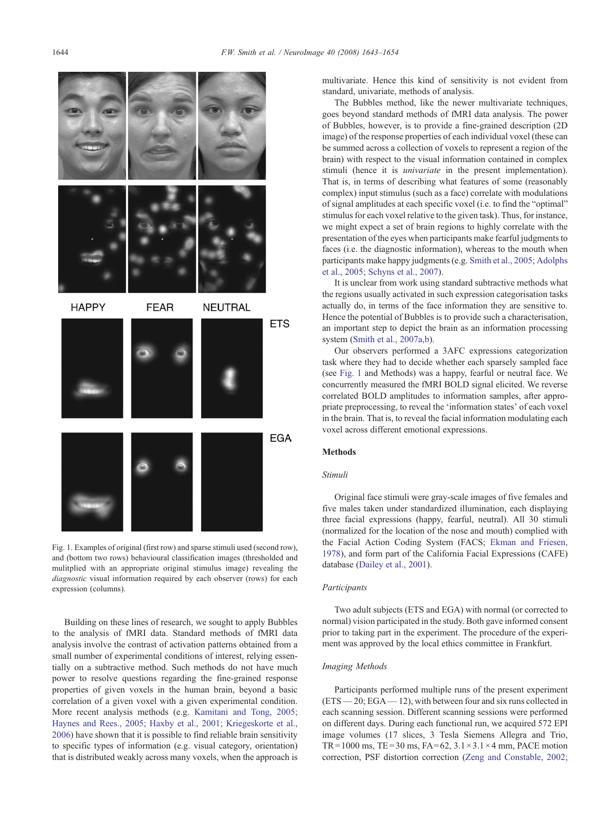<span id="page-1-0"></span>

Fig. 1. Examples of original (first row) and sparse stimuli used (second row), and (bottom two rows) behavioural classification images (thresholded and mulitplied with an appropriate original stimulus image) revealing the diagnostic visual information required by each observer (rows) for each expression (columns).

Building on these lines of research, we sought to apply Bubbles to the analysis of fMRI data. Standard methods of fMRI data analysis involve the contrast of activation patterns obtained from a small number of experimental conditions of interest, relying essentially on a subtractive method. Such methods do not have much power to resolve questions regarding the fine-grained response properties of given voxels in the human brain, beyond a basic correlation of a given voxel with a given experimental condition. More recent analysis methods (e.g. [Kamitani and Tong, 2005;](#page-11-0) [Haynes and Rees., 2005; Haxby et al., 2001; Kriegeskorte et al.,](#page-11-0) [2006\)](#page-11-0) have shown that it is possible to find reliable brain sensitivity to specific types of information (e.g. visual category, orientation) that is distributed weakly across many voxels, when the approach is

multivariate. Hence this kind of sensitivity is not evident from standard, univariate, methods of analysis.

The Bubbles method, like the newer multivariate techniques, goes beyond standard methods of fMRI data analysis. The power of Bubbles, however, is to provide a fine-grained description (2D image) of the response properties of each individual voxel (these can be summed across a collection of voxels to represent a region of the brain) with respect to the visual information contained in complex stimuli (hence it is *univariate* in the present implementation). That is, in terms of describing what features of some (reasonably complex) input stimulus (such as a face) correlate with modulations of signal amplitudes at each specific voxel (i.e. to find the "optimal" stimulus for each voxel relative to the given task). Thus, for instance, we might expect a set of brain regions to highly correlate with the presentation of the eyes when participants make fearful judgments to faces (i.e. the diagnostic information), whereas to the mouth when participants make happy judgments (e.g. [Smith et al., 2005; Adolphs](#page-11-0) [et al., 2005; Schyns et al., 2007\)](#page-11-0).

It is unclear from work using standard subtractive methods what the regions usually activated in such expression categorisation tasks actually do, in terms of the face information they are sensitive to. Hence the potential of Bubbles is to provide such a characterisation, an important step to depict the brain as an information processing system ([Smith et al., 2007a,b\)](#page-11-0).

Our observers performed a 3AFC expressions categorization task where they had to decide whether each sparsely sampled face (see Fig. 1 and Methods) was a happy, fearful or neutral face. We concurrently measured the fMRI BOLD signal elicited. We reverse correlated BOLD amplitudes to information samples, after appropriate preprocessing, to reveal the 'information states' of each voxel in the brain. That is, to reveal the facial information modulating each voxel across different emotional expressions.

# Methods

#### Stimuli

Original face stimuli were gray-scale images of five females and five males taken under standardized illumination, each displaying three facial expressions (happy, fearful, neutral). All 30 stimuli (normalized for the location of the nose and mouth) complied with the Facial Action Coding System (FACS; [Ekman and Friesen,](#page-10-0) [1978\)](#page-10-0), and form part of the California Facial Expressions (CAFE) database ([Dailey et al., 2001\)](#page-10-0).

#### Participants

Two adult subjects (ETS and EGA) with normal (or corrected to normal) vision participated in the study. Both gave informed consent prior to taking part in the experiment. The procedure of the experiment was approved by the local ethics committee in Frankfurt.

# Imaging Methods

Participants performed multiple runs of the present experiment (ETS — 20; EGA — 12), with between four and six runs collected in each scanning session. Different scanning sessions were performed on different days. During each functional run, we acquired 572 EPI image volumes (17 slices, 3 Tesla Siemens Allegra and Trio, TR = 1000 ms, TE = 30 ms, FA =  $62$ ,  $3.1 \times 3.1 \times 4$  mm, PACE motion correction, PSF distortion correction [\(Zeng and Constable, 2002;](#page-11-0)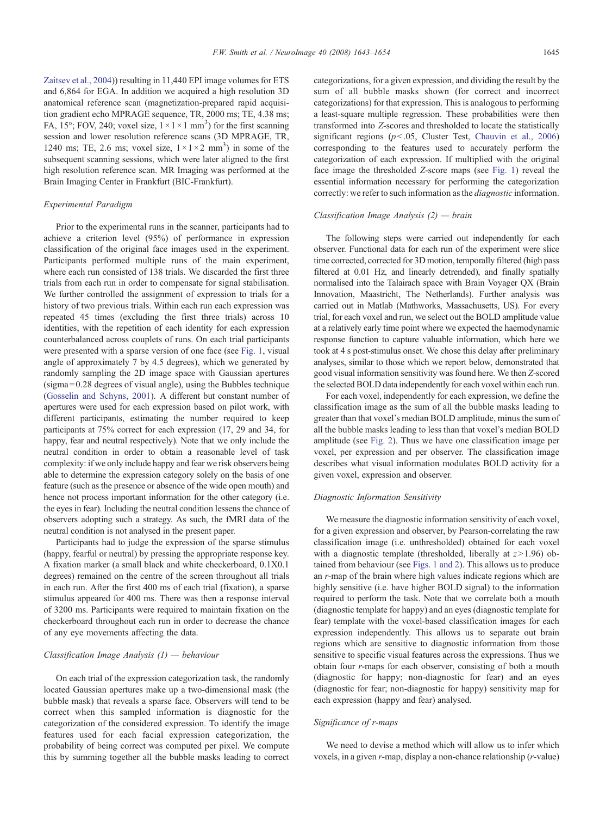[Zaitsev et al., 2004\)](#page-11-0)) resulting in 11,440 EPI image volumes for ETS and 6,864 for EGA. In addition we acquired a high resolution 3D anatomical reference scan (magnetization-prepared rapid acquisition gradient echo MPRAGE sequence, TR, 2000 ms; TE, 4.38 ms; FA, 15°; FOV, 240; voxel size,  $1 \times 1 \times 1$  mm<sup>3</sup>) for the first scanning session and lower resolution reference scans (3D MPRAGE, TR, 1240 ms; TE, 2.6 ms; voxel size,  $1 \times 1 \times 2$  mm<sup>3</sup>) in some of the subsequent scanning sessions, which were later aligned to the first high resolution reference scan. MR Imaging was performed at the Brain Imaging Center in Frankfurt (BIC-Frankfurt).

# Experimental Paradigm

Prior to the experimental runs in the scanner, participants had to achieve a criterion level (95%) of performance in expression classification of the original face images used in the experiment. Participants performed multiple runs of the main experiment, where each run consisted of 138 trials. We discarded the first three trials from each run in order to compensate for signal stabilisation. We further controlled the assignment of expression to trials for a history of two previous trials. Within each run each expression was repeated 45 times (excluding the first three trials) across 10 identities, with the repetition of each identity for each expression counterbalanced across couplets of runs. On each trial participants were presented with a sparse version of one face (see [Fig. 1,](#page-1-0) visual angle of approximately 7 by 4.5 degrees), which we generated by randomly sampling the 2D image space with Gaussian apertures (sigma = 0.28 degrees of visual angle), using the Bubbles technique [\(Gosselin and Schyns, 2001\)](#page-11-0). A different but constant number of apertures were used for each expression based on pilot work, with different participants, estimating the number required to keep participants at 75% correct for each expression (17, 29 and 34, for happy, fear and neutral respectively). Note that we only include the neutral condition in order to obtain a reasonable level of task complexity: if we only include happy and fear we risk observers being able to determine the expression category solely on the basis of one feature (such as the presence or absence of the wide open mouth) and hence not process important information for the other category (i.e. the eyes in fear). Including the neutral condition lessens the chance of observers adopting such a strategy. As such, the fMRI data of the neutral condition is not analysed in the present paper.

Participants had to judge the expression of the sparse stimulus (happy, fearful or neutral) by pressing the appropriate response key. A fixation marker (a small black and white checkerboard, 0.1X0.1 degrees) remained on the centre of the screen throughout all trials in each run. After the first 400 ms of each trial (fixation), a sparse stimulus appeared for 400 ms. There was then a response interval of 3200 ms. Participants were required to maintain fixation on the checkerboard throughout each run in order to decrease the chance of any eye movements affecting the data.

#### Classification Image Analysis  $(1)$  — behaviour

On each trial of the expression categorization task, the randomly located Gaussian apertures make up a two-dimensional mask (the bubble mask) that reveals a sparse face. Observers will tend to be correct when this sampled information is diagnostic for the categorization of the considered expression. To identify the image features used for each facial expression categorization, the probability of being correct was computed per pixel. We compute this by summing together all the bubble masks leading to correct categorizations, for a given expression, and dividing the result by the sum of all bubble masks shown (for correct and incorrect categorizations) for that expression. This is analogous to performing a least-square multiple regression. These probabilities were then transformed into Z-scores and thresholded to locate the statistically significant regions ( $p<0.05$ , Cluster Test, [Chauvin et al., 2006\)](#page-10-0) corresponding to the features used to accurately perform the categorization of each expression. If multiplied with the original face image the thresholded Z-score maps (see [Fig. 1\)](#page-1-0) reveal the essential information necessary for performing the categorization correctly: we refer to such information as the diagnostic information.

### Classification Image Analysis (2) — brain

The following steps were carried out independently for each observer. Functional data for each run of the experiment were slice time corrected, corrected for 3D motion, temporally filtered (high pass filtered at 0.01 Hz, and linearly detrended), and finally spatially normalised into the Talairach space with Brain Voyager QX (Brain Innovation, Maastricht, The Netherlands). Further analysis was carried out in Matlab (Mathworks, Massachusetts, US). For every trial, for each voxel and run, we select out the BOLD amplitude value at a relatively early time point where we expected the haemodynamic response function to capture valuable information, which here we took at 4 s post-stimulus onset. We chose this delay after preliminary analyses, similar to those which we report below, demonstrated that good visual information sensitivity was found here. We then Z-scored the selected BOLD data independently for each voxel within each run.

For each voxel, independently for each expression, we define the classification image as the sum of all the bubble masks leading to greater than that voxel's median BOLD amplitude, minus the sum of all the bubble masks leading to less than that voxel's median BOLD amplitude (see [Fig. 2](#page-3-0)). Thus we have one classification image per voxel, per expression and per observer. The classification image describes what visual information modulates BOLD activity for a given voxel, expression and observer.

### Diagnostic Information Sensitivity

We measure the diagnostic information sensitivity of each voxel, for a given expression and observer, by Pearson-correlating the raw classification image (i.e. unthresholded) obtained for each voxel with a diagnostic template (thresholded, liberally at  $z > 1.96$ ) obtained from behaviour (see [Figs. 1 and 2](#page-1-0)). This allows us to produce an r-map of the brain where high values indicate regions which are highly sensitive (i.e. have higher BOLD signal) to the information required to perform the task. Note that we correlate both a mouth (diagnostic template for happy) and an eyes (diagnostic template for fear) template with the voxel-based classification images for each expression independently. This allows us to separate out brain regions which are sensitive to diagnostic information from those sensitive to specific visual features across the expressions. Thus we obtain four r-maps for each observer, consisting of both a mouth (diagnostic for happy; non-diagnostic for fear) and an eyes (diagnostic for fear; non-diagnostic for happy) sensitivity map for each expression (happy and fear) analysed.

#### Significance of r-maps

We need to devise a method which will allow us to infer which voxels, in a given r-map, display a non-chance relationship (r-value)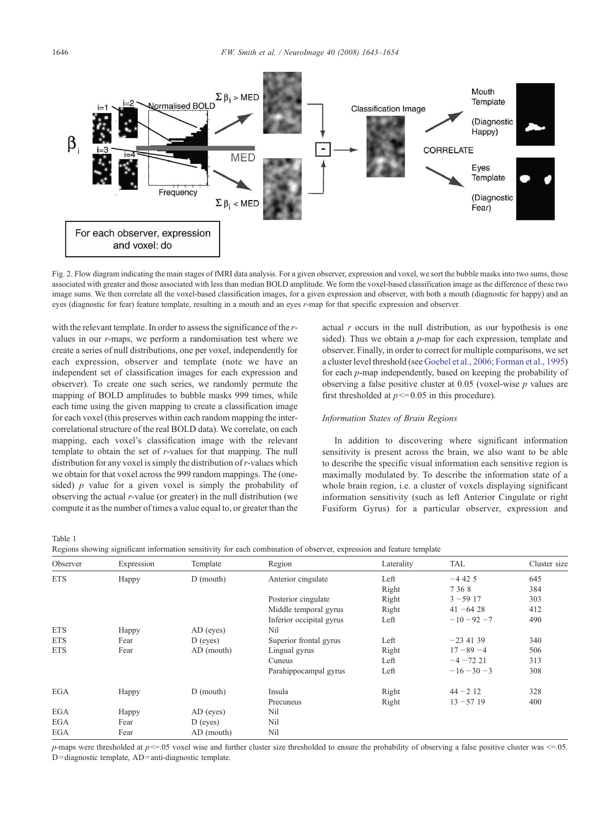<span id="page-3-0"></span>

Fig. 2. Flow diagram indicating the main stages of fMRI data analysis. For a given observer, expression and voxel, we sort the bubble masks into two sums, those associated with greater and those associated with less than median BOLD amplitude. We form the voxel-based classification image as the difference of these two image sums. We then correlate all the voxel-based classification images, for a given expression and observer, with both a mouth (diagnostic for happy) and an eyes (diagnostic for fear) feature template, resulting in a mouth and an eyes r-map for that specific expression and observer.

with the relevant template. In order to assess the significance of the rvalues in our r-maps, we perform a randomisation test where we create a series of null distributions, one per voxel, independently for each expression, observer and template (note we have an independent set of classification images for each expression and observer). To create one such series, we randomly permute the mapping of BOLD amplitudes to bubble masks 999 times, while each time using the given mapping to create a classification image for each voxel (this preserves within each random mapping the intercorrelational structure of the real BOLD data). We correlate, on each mapping, each voxel's classification image with the relevant template to obtain the set of r-values for that mapping. The null distribution for any voxel is simply the distribution of  $r$ -values which we obtain for that voxel across the 999 random mappings. The (onesided)  $p$  value for a given voxel is simply the probability of observing the actual  $r$ -value (or greater) in the null distribution (we compute it as the number of times a value equal to, or greater than the actual  $r$  occurs in the null distribution, as our hypothesis is one sided). Thus we obtain a  $p$ -map for each expression, template and observer. Finally, in order to correct for multiple comparisons, we set a cluster level threshold (see [Goebel et al., 2006; Forman et al., 1995\)](#page-11-0) for each p-map independently, based on keeping the probability of observing a false positive cluster at 0.05 (voxel-wise p values are first thresholded at  $p \le 0.05$  in this procedure).

# Information States of Brain Regions

In addition to discovering where significant information sensitivity is present across the brain, we also want to be able to describe the specific visual information each sensitive region is maximally modulated by. To describe the information state of a whole brain region, i.e. a cluster of voxels displaying significant information sensitivity (such as left Anterior Cingulate or right Fusiform Gyrus) for a particular observer, expression and

Table 1

|  |  |  |  | Regions showing significant information sensitivity for each combination of observer, expression and feature template |  |
|--|--|--|--|-----------------------------------------------------------------------------------------------------------------------|--|
|  |  |  |  |                                                                                                                       |  |

| Observer   | Expression | Template    | Region                   | Laterality | TAL            | Cluster size |
|------------|------------|-------------|--------------------------|------------|----------------|--------------|
| <b>ETS</b> | Happy      | $D$ (mouth) | Anterior cingulate       | Left       | $-4425$        | 645          |
|            |            |             |                          | Right      | 7 3 6 8        | 384          |
|            |            |             | Posterior cingulate      | Right      | $3 - 5917$     | 303          |
|            |            |             | Middle temporal gyrus    | Right      | $41 - 6428$    | 412          |
|            |            |             | Inferior occipital gyrus | Left       | $-10 - 92 - 7$ | 490          |
| <b>ETS</b> | Happy      | AD (eyes)   | Nil                      |            |                |              |
| <b>ETS</b> | Fear       | $D$ (eyes)  | Superior frontal gyrus   | Left       | $-234139$      | 340          |
| <b>ETS</b> | Fear       | AD (mouth)  | Lingual gyrus            | Right      | $17 - 89 - 4$  | 506          |
|            |            |             | Cuneus                   | Left       | $-4 - 7221$    | 313          |
|            |            |             | Parahippocampal gyrus    | Left       | $-16 - 30 - 3$ | 308          |
| EGA        | Happy      | $D$ (mouth) | Insula                   | Right      | $44 - 212$     | 328          |
|            |            |             | Precuneus                | Right      | $13 - 57$ 19   | 400          |
| EGA        | Happy      | AD (eyes)   | Nil                      |            |                |              |
| EGA        | Fear       | $D$ (eyes)  | Nil                      |            |                |              |
| EGA        | Fear       | AD (mouth)  | Nil                      |            |                |              |

p-maps were thresholded at  $p \le 0.05$  voxel wise and further cluster size thresholded to ensure the probability of observing a false positive cluster was  $\le 0.05$ . D=diagnostic template, AD=anti-diagnostic template.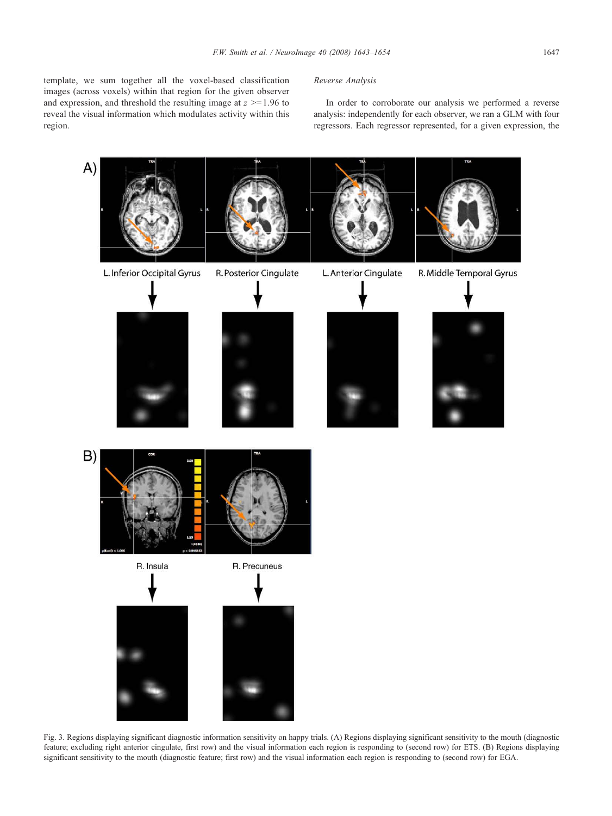<span id="page-4-0"></span>template, we sum together all the voxel-based classification images (across voxels) within that region for the given observer and expression, and threshold the resulting image at  $z \geq 1.96$  to reveal the visual information which modulates activity within this region.

# Reverse Analysis

In order to corroborate our analysis we performed a reverse analysis: independently for each observer, we ran a GLM with four regressors. Each regressor represented, for a given expression, the



Fig. 3. Regions displaying significant diagnostic information sensitivity on happy trials. (A) Regions displaying significant sensitivity to the mouth (diagnostic feature; excluding right anterior cingulate, first row) and the visual information each region is responding to (second row) for ETS. (B) Regions displaying significant sensitivity to the mouth (diagnostic feature; first row) and the visual information each region is responding to (second row) for EGA.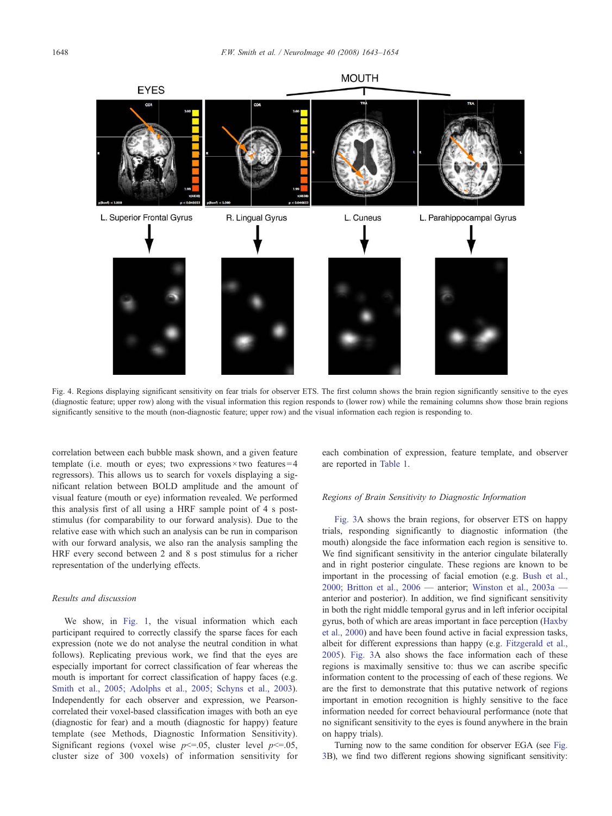<span id="page-5-0"></span>

Fig. 4. Regions displaying significant sensitivity on fear trials for observer ETS. The first column shows the brain region significantly sensitive to the eyes (diagnostic feature; upper row) along with the visual information this region responds to (lower row) while the remaining columns show those brain regions significantly sensitive to the mouth (non-diagnostic feature; upper row) and the visual information each region is responding to.

correlation between each bubble mask shown, and a given feature template (i.e. mouth or eyes; two expressions  $\times$  two features = 4 regressors). This allows us to search for voxels displaying a significant relation between BOLD amplitude and the amount of visual feature (mouth or eye) information revealed. We performed this analysis first of all using a HRF sample point of 4 s poststimulus (for comparability to our forward analysis). Due to the relative ease with which such an analysis can be run in comparison with our forward analysis, we also ran the analysis sampling the HRF every second between 2 and 8 s post stimulus for a richer representation of the underlying effects.

#### Results and discussion

We show, in [Fig. 1,](#page-1-0) the visual information which each participant required to correctly classify the sparse faces for each expression (note we do not analyse the neutral condition in what follows). Replicating previous work, we find that the eyes are especially important for correct classification of fear whereas the mouth is important for correct classification of happy faces (e.g. [Smith et al., 2005; Adolphs et al., 2005; Schyns et al., 2003\)](#page-11-0). Independently for each observer and expression, we Pearsoncorrelated their voxel-based classification images with both an eye (diagnostic for fear) and a mouth (diagnostic for happy) feature template (see Methods, Diagnostic Information Sensitivity). Significant regions (voxel wise  $p \le 0.05$ , cluster level  $p \le 0.05$ , cluster size of 300 voxels) of information sensitivity for each combination of expression, feature template, and observer are reported in [Table 1.](#page-3-0)

# Regions of Brain Sensitivity to Diagnostic Information

[Fig. 3A](#page-4-0) shows the brain regions, for observer ETS on happy trials, responding significantly to diagnostic information (the mouth) alongside the face information each region is sensitive to. We find significant sensitivity in the anterior cingulate bilaterally and in right posterior cingulate. These regions are known to be important in the processing of facial emotion (e.g. [Bush et al.,](#page-10-0) [2000; Britton et al., 2006](#page-10-0) — anterior; [Winston et al., 2003a](#page-11-0) anterior and posterior). In addition, we find significant sensitivity in both the right middle temporal gyrus and in left inferior occipital gyrus, both of which are areas important in face perception ([Haxby](#page-11-0) [et al., 2000\)](#page-11-0) and have been found active in facial expression tasks, albeit for different expressions than happy (e.g. [Fitzgerald et al.,](#page-10-0) [2005\)](#page-10-0). [Fig. 3](#page-4-0)A also shows the face information each of these regions is maximally sensitive to: thus we can ascribe specific information content to the processing of each of these regions. We are the first to demonstrate that this putative network of regions important in emotion recognition is highly sensitive to the face information needed for correct behavioural performance (note that no significant sensitivity to the eyes is found anywhere in the brain on happy trials).

Turning now to the same condition for observer EGA (see [Fig.](#page-4-0) [3](#page-4-0)B), we find two different regions showing significant sensitivity: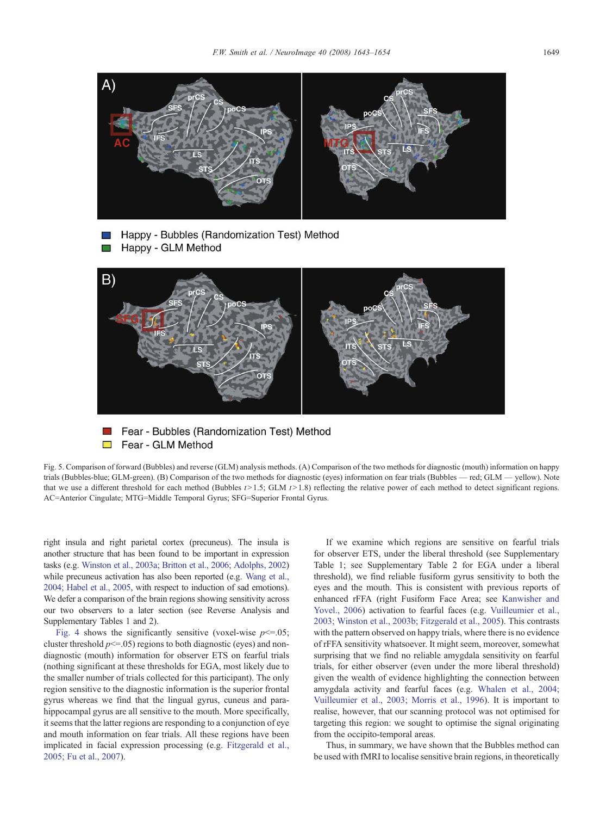

Happy - Bubbles (Randomization Test) Method  $\sim$ Happy - GLM Method

<span id="page-6-0"></span> $\mathsf{A}$ 



#### Fear - Bubbles (Randomization Test) Method  $\sim 1$ Fear - GLM Method  $\mathbb{R}^n$

Fig. 5. Comparison of forward (Bubbles) and reverse (GLM) analysis methods. (A) Comparison of the two methods for diagnostic (mouth) information on happy trials (Bubbles-blue; GLM-green). (B) Comparison of the two methods for diagnostic (eyes) information on fear trials (Bubbles — red; GLM — yellow). Note that we use a different threshold for each method (Bubbles  $t>1.5$ ; GLM  $t>1.8$ ) reflecting the relative power of each method to detect significant regions. AC=Anterior Cingulate; MTG=Middle Temporal Gyrus; SFG=Superior Frontal Gyrus.

right insula and right parietal cortex (precuneus). The insula is another structure that has been found to be important in expression tasks (e.g. [Winston et al., 2003a; Britton et al., 2006; Adolphs, 2002\)](#page-11-0) while precuneus activation has also been reported (e.g. [Wang et al.,](#page-11-0) [2004; Habel et al., 2005](#page-11-0), with respect to induction of sad emotions). We defer a comparison of the brain regions showing sensitivity across our two observers to a later section (see Reverse Analysis and Supplementary Tables 1 and 2).

[Fig. 4](#page-5-0) shows the significantly sensitive (voxel-wise  $p \le 0.05$ ; cluster threshold  $p \le 0.05$ ) regions to both diagnostic (eyes) and nondiagnostic (mouth) information for observer ETS on fearful trials (nothing significant at these thresholds for EGA, most likely due to the smaller number of trials collected for this participant). The only region sensitive to the diagnostic information is the superior frontal gyrus whereas we find that the lingual gyrus, cuneus and parahippocampal gyrus are all sensitive to the mouth. More specifically, it seems that the latter regions are responding to a conjunction of eye and mouth information on fear trials. All these regions have been implicated in facial expression processing (e.g. [Fitzgerald et al.,](#page-10-0) [2005; Fu et al., 2007](#page-10-0)).

If we examine which regions are sensitive on fearful trials for observer ETS, under the liberal threshold (see Supplementary Table 1; see Supplementary Table 2 for EGA under a liberal threshold), we find reliable fusiform gyrus sensitivity to both the eyes and the mouth. This is consistent with previous reports of enhanced rFFA (right Fusiform Face Area; see [Kanwisher and](#page-11-0) [Yovel., 2006\)](#page-11-0) activation to fearful faces (e.g. [Vuilleumier et al.,](#page-11-0) [2003; Winston et al., 2003b; Fitzgerald et al., 2005](#page-11-0)). This contrasts with the pattern observed on happy trials, where there is no evidence of rFFA sensitivity whatsoever. It might seem, moreover, somewhat surprising that we find no reliable amygdala sensitivity on fearful trials, for either observer (even under the more liberal threshold) given the wealth of evidence highlighting the connection between amygdala activity and fearful faces (e.g. [Whalen et al., 2004;](#page-11-0) [Vuilleumier et al., 2003; Morris et al., 1996](#page-11-0)). It is important to realise, however, that our scanning protocol was not optimised for targeting this region: we sought to optimise the signal originating from the occipito-temporal areas.

Thus, in summary, we have shown that the Bubbles method can be used with fMRI to localise sensitive brain regions, in theoretically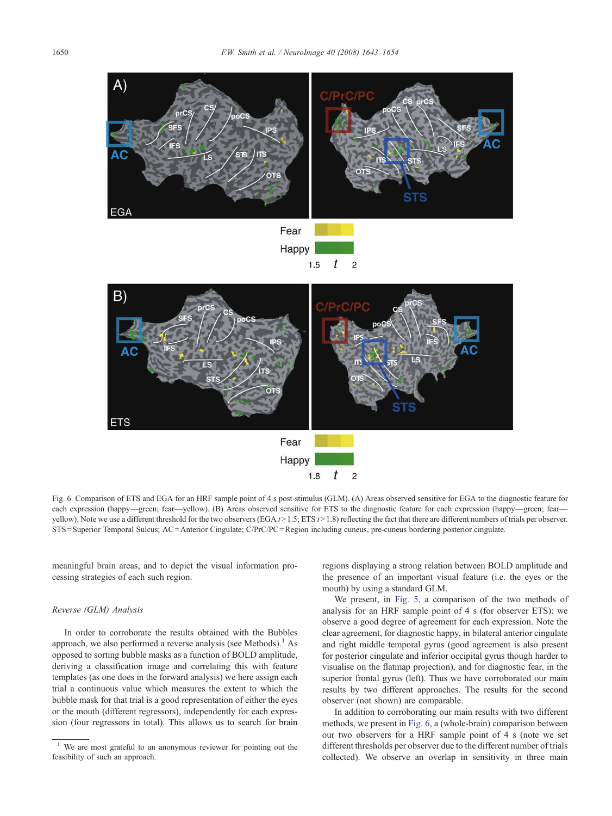

Fig. 6. Comparison of ETS and EGA for an HRF sample point of 4 s post-stimulus (GLM). (A) Areas observed sensitive for EGA to the diagnostic feature for each expression (happy—green; fear—yellow). (B) Areas observed sensitive for ETS to the diagnostic feature for each expression (happy—green; fearyellow). Note we use a different threshold for the two observers (EGA  $t > 1.5$ ; ETS  $t > 1.8$ ) reflecting the fact that there are different numbers of trials per observer. STS = Superior Temporal Sulcus; AC = Anterior Cingulate; C/PrC/PC=Region including cuneus, pre-cuneus bordering posterior cingulate.

meaningful brain areas, and to depict the visual information processing strategies of each such region.

# Reverse (GLM) Analysis

In order to corroborate the results obtained with the Bubbles approach, we also performed a reverse analysis (see Methods).<sup>1</sup> As opposed to sorting bubble masks as a function of BOLD amplitude, deriving a classification image and correlating this with feature templates (as one does in the forward analysis) we here assign each trial a continuous value which measures the extent to which the bubble mask for that trial is a good representation of either the eyes or the mouth (different regressors), independently for each expression (four regressors in total). This allows us to search for brain regions displaying a strong relation between BOLD amplitude and the presence of an important visual feature (i.e. the eyes or the mouth) by using a standard GLM.

We present, in [Fig. 5](#page-6-0), a comparison of the two methods of analysis for an HRF sample point of 4 s (for observer ETS): we observe a good degree of agreement for each expression. Note the clear agreement, for diagnostic happy, in bilateral anterior cingulate and right middle temporal gyrus (good agreement is also present for posterior cingulate and inferior occipital gyrus though harder to visualise on the flatmap projection), and for diagnostic fear, in the superior frontal gyrus (left). Thus we have corroborated our main results by two different approaches. The results for the second observer (not shown) are comparable.

In addition to corroborating our main results with two different methods, we present in Fig. 6, a (whole-brain) comparison between our two observers for a HRF sample point of 4 s (note we set different thresholds per observer due to the different number of trials collected). We observe an overlap in sensitivity in three main

<sup>1</sup> We are most grateful to an anonymous reviewer for pointing out the feasibility of such an approach.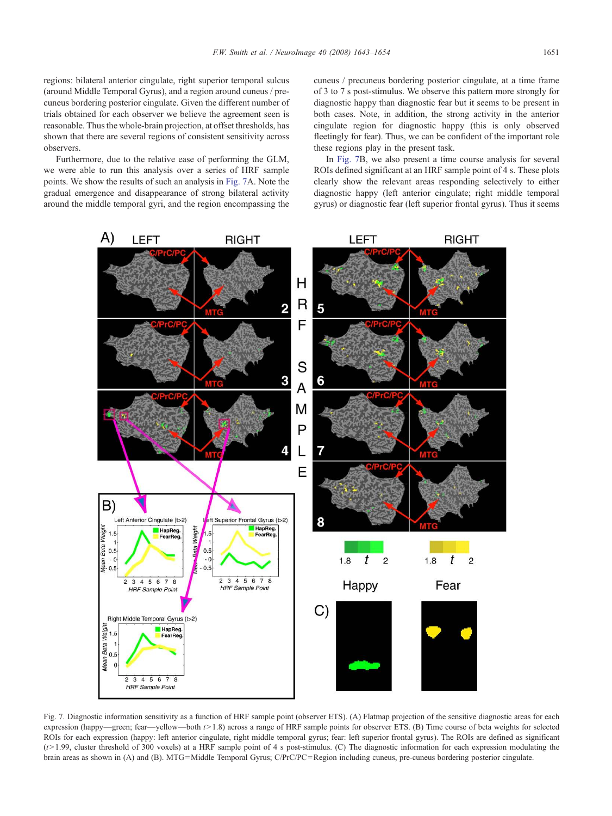regions: bilateral anterior cingulate, right superior temporal sulcus (around Middle Temporal Gyrus), and a region around cuneus / precuneus bordering posterior cingulate. Given the different number of trials obtained for each observer we believe the agreement seen is reasonable. Thus the whole-brain projection, at offset thresholds, has shown that there are several regions of consistent sensitivity across observers.

Furthermore, due to the relative ease of performing the GLM, we were able to run this analysis over a series of HRF sample points. We show the results of such an analysis in Fig. 7A. Note the gradual emergence and disappearance of strong bilateral activity around the middle temporal gyri, and the region encompassing the cuneus / precuneus bordering posterior cingulate, at a time frame of 3 to 7 s post-stimulus. We observe this pattern more strongly for diagnostic happy than diagnostic fear but it seems to be present in both cases. Note, in addition, the strong activity in the anterior cingulate region for diagnostic happy (this is only observed fleetingly for fear). Thus, we can be confident of the important role these regions play in the present task.

In Fig. 7B, we also present a time course analysis for several ROIs defined significant at an HRF sample point of 4 s. These plots clearly show the relevant areas responding selectively to either diagnostic happy (left anterior cingulate; right middle temporal gyrus) or diagnostic fear (left superior frontal gyrus). Thus it seems



Fig. 7. Diagnostic information sensitivity as a function of HRF sample point (observer ETS). (A) Flatmap projection of the sensitive diagnostic areas for each expression (happy—green; fear—yellow—both  $t > 1.8$ ) across a range of HRF sample points for observer ETS. (B) Time course of beta weights for selected ROIs for each expression (happy: left anterior cingulate, right middle temporal gyrus; fear: left superior frontal gyrus). The ROIs are defined as significant  $(t>1.99$ , cluster threshold of 300 voxels) at a HRF sample point of 4 s post-stimulus. (C) The diagnostic information for each expression modulating the brain areas as shown in (A) and (B). MTG=Middle Temporal Gyrus; C/PrC/PC=Region including cuneus, pre-cuneus bordering posterior cingulate.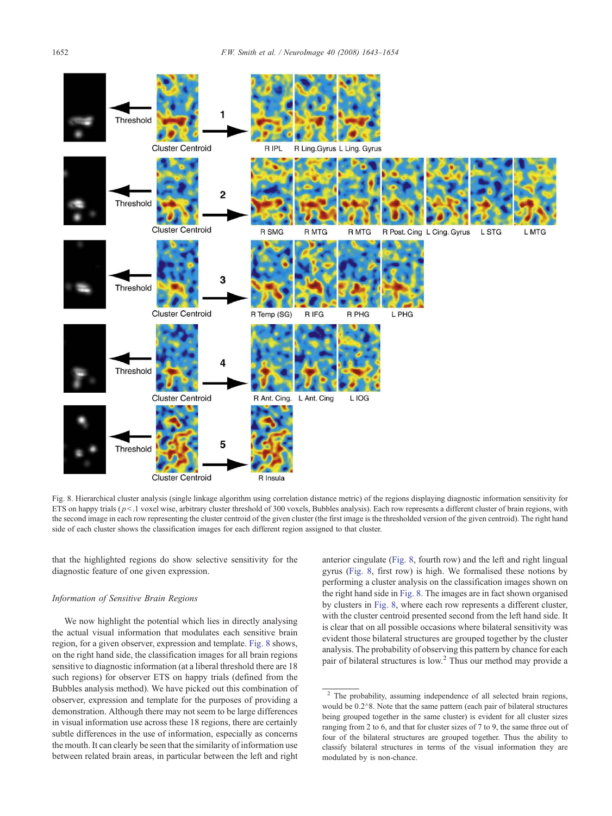

Fig. 8. Hierarchical cluster analysis (single linkage algorithm using correlation distance metric) of the regions displaying diagnostic information sensitivity for ETS on happy trials ( $p<1$  voxel wise, arbitrary cluster threshold of 300 voxels, Bubbles analysis). Each row represents a different cluster of brain regions, with the second image in each row representing the cluster centroid of the given cluster (the first image is the thresholded version of the given centroid). The right hand side of each cluster shows the classification images for each different region assigned to that cluster.

that the highlighted regions do show selective sensitivity for the diagnostic feature of one given expression.

# Information of Sensitive Brain Regions

We now highlight the potential which lies in directly analysing the actual visual information that modulates each sensitive brain region, for a given observer, expression and template. Fig. 8 shows, on the right hand side, the classification images for all brain regions sensitive to diagnostic information (at a liberal threshold there are 18 such regions) for observer ETS on happy trials (defined from the Bubbles analysis method). We have picked out this combination of observer, expression and template for the purposes of providing a demonstration. Although there may not seem to be large differences in visual information use across these 18 regions, there are certainly subtle differences in the use of information, especially as concerns the mouth. It can clearly be seen that the similarity of information use between related brain areas, in particular between the left and right

anterior cingulate (Fig. 8, fourth row) and the left and right lingual gyrus (Fig. 8, first row) is high. We formalised these notions by performing a cluster analysis on the classification images shown on the right hand side in Fig. 8. The images are in fact shown organised by clusters in Fig. 8, where each row represents a different cluster, with the cluster centroid presented second from the left hand side. It is clear that on all possible occasions where bilateral sensitivity was evident those bilateral structures are grouped together by the cluster analysis. The probability of observing this pattern by chance for each pair of bilateral structures is low.2 Thus our method may provide a

<sup>&</sup>lt;sup>2</sup> The probability, assuming independence of all selected brain regions, would be 0.2^8. Note that the same pattern (each pair of bilateral structures being grouped together in the same cluster) is evident for all cluster sizes ranging from 2 to 6, and that for cluster sizes of 7 to 9, the same three out of four of the bilateral structures are grouped together. Thus the ability to classify bilateral structures in terms of the visual information they are modulated by is non-chance.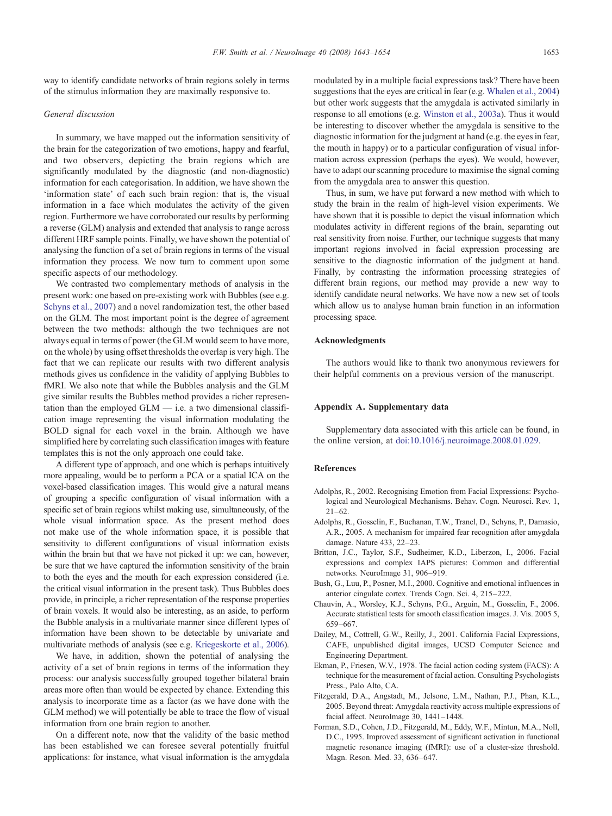<span id="page-10-0"></span>way to identify candidate networks of brain regions solely in terms of the stimulus information they are maximally responsive to.

# General discussion

In summary, we have mapped out the information sensitivity of the brain for the categorization of two emotions, happy and fearful, and two observers, depicting the brain regions which are significantly modulated by the diagnostic (and non-diagnostic) information for each categorisation. In addition, we have shown the 'information state' of each such brain region: that is, the visual information in a face which modulates the activity of the given region. Furthermore we have corroborated our results by performing a reverse (GLM) analysis and extended that analysis to range across different HRF sample points. Finally, we have shown the potential of analysing the function of a set of brain regions in terms of the visual information they process. We now turn to comment upon some specific aspects of our methodology.

We contrasted two complementary methods of analysis in the present work: one based on pre-existing work with Bubbles (see e.g. [Schyns et al., 2007\)](#page-11-0) and a novel randomization test, the other based on the GLM. The most important point is the degree of agreement between the two methods: although the two techniques are not always equal in terms of power (the GLM would seem to have more, on the whole) by using offset thresholds the overlap is very high. The fact that we can replicate our results with two different analysis methods gives us confidence in the validity of applying Bubbles to fMRI. We also note that while the Bubbles analysis and the GLM give similar results the Bubbles method provides a richer representation than the employed  $GLM$  — i.e. a two dimensional classification image representing the visual information modulating the BOLD signal for each voxel in the brain. Although we have simplified here by correlating such classification images with feature templates this is not the only approach one could take.

A different type of approach, and one which is perhaps intuitively more appealing, would be to perform a PCA or a spatial ICA on the voxel-based classification images. This would give a natural means of grouping a specific configuration of visual information with a specific set of brain regions whilst making use, simultaneously, of the whole visual information space. As the present method does not make use of the whole information space, it is possible that sensitivity to different configurations of visual information exists within the brain but that we have not picked it up: we can, however, be sure that we have captured the information sensitivity of the brain to both the eyes and the mouth for each expression considered (i.e. the critical visual information in the present task). Thus Bubbles does provide, in principle, a richer representation of the response properties of brain voxels. It would also be interesting, as an aside, to perform the Bubble analysis in a multivariate manner since different types of information have been shown to be detectable by univariate and multivariate methods of analysis (see e.g. [Kriegeskorte et al., 2006\)](#page-11-0).

We have, in addition, shown the potential of analysing the activity of a set of brain regions in terms of the information they process: our analysis successfully grouped together bilateral brain areas more often than would be expected by chance. Extending this analysis to incorporate time as a factor (as we have done with the GLM method) we will potentially be able to trace the flow of visual information from one brain region to another.

On a different note, now that the validity of the basic method has been established we can foresee several potentially fruitful applications: for instance, what visual information is the amygdala modulated by in a multiple facial expressions task? There have been suggestions that the eyes are critical in fear (e.g. [Whalen et al., 2004\)](#page-11-0) but other work suggests that the amygdala is activated similarly in response to all emotions (e.g. [Winston et al., 2003a\)](#page-11-0). Thus it would be interesting to discover whether the amygdala is sensitive to the diagnostic information for the judgment at hand (e.g. the eyes in fear, the mouth in happy) or to a particular configuration of visual information across expression (perhaps the eyes). We would, however, have to adapt our scanning procedure to maximise the signal coming from the amygdala area to answer this question.

Thus, in sum, we have put forward a new method with which to study the brain in the realm of high-level vision experiments. We have shown that it is possible to depict the visual information which modulates activity in different regions of the brain, separating out real sensitivity from noise. Further, our technique suggests that many important regions involved in facial expression processing are sensitive to the diagnostic information of the judgment at hand. Finally, by contrasting the information processing strategies of different brain regions, our method may provide a new way to identify candidate neural networks. We have now a new set of tools which allow us to analyse human brain function in an information processing space.

# Acknowledgments

The authors would like to thank two anonymous reviewers for their helpful comments on a previous version of the manuscript.

#### Appendix A. Supplementary data

Supplementary data associated with this article can be found, in the online version, at [doi:10.1016/j.neuroimage.2008.01.029](http://dx.doi.org/doi:10.1016/j.neuroimage.2008.01.029).

# References

- Adolphs, R., 2002. Recognising Emotion from Facial Expressions: Psychological and Neurological Mechanisms. Behav. Cogn. Neurosci. Rev. 1,  $21-62$ .
- Adolphs, R., Gosselin, F., Buchanan, T.W., Tranel, D., Schyns, P., Damasio, A.R., 2005. A mechanism for impaired fear recognition after amygdala damage. Nature 433, 22–23.
- Britton, J.C., Taylor, S.F., Sudheimer, K.D., Liberzon, I., 2006. Facial expressions and complex IAPS pictures: Common and differential networks. NeuroImage 31, 906–919.
- Bush, G., Luu, P., Posner, M.I., 2000. Cognitive and emotional influences in anterior cingulate cortex. Trends Cogn. Sci. 4, 215–222.
- Chauvin, A., Worsley, K.J., Schyns, P.G., Arguin, M., Gosselin, F., 2006. Accurate statistical tests for smooth classification images. J. Vis. 2005 5, 659–667.
- Dailey, M., Cottrell, G.W., Reilly, J., 2001. California Facial Expressions, CAFE, unpublished digital images, UCSD Computer Science and Engineering Department.
- Ekman, P., Friesen, W.V., 1978. The facial action coding system (FACS): A technique for the measurement of facial action. Consulting Psychologists Press., Palo Alto, CA.
- Fitzgerald, D.A., Angstadt, M., Jelsone, L.M., Nathan, P.J., Phan, K.L., 2005. Beyond threat: Amygdala reactivity across multiple expressions of facial affect. NeuroImage 30, 1441–1448.
- Forman, S.D., Cohen, J.D., Fitzgerald, M., Eddy, W.F., Mintun, M.A., Noll, D.C., 1995. Improved assessment of significant activation in functional magnetic resonance imaging (fMRI): use of a cluster-size threshold. Magn. Reson. Med. 33, 636–647.